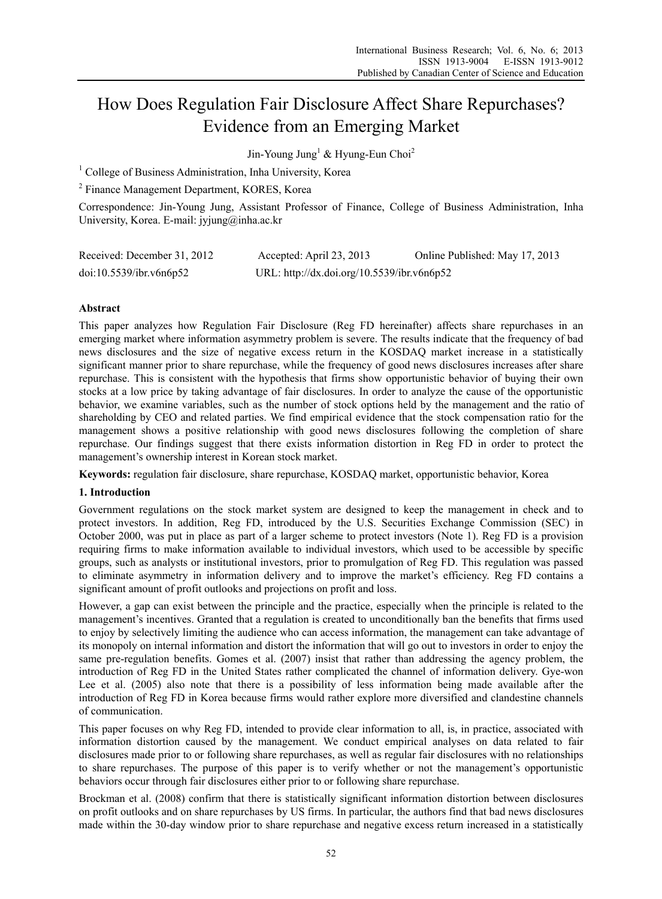# How Does Regulation Fair Disclosure Affect Share Repurchases? Evidence from an Emerging Market

Jin-Young Jung<sup>1</sup> & Hyung-Eun Choi<sup>2</sup>

<sup>1</sup> College of Business Administration, Inha University, Korea

2 Finance Management Department, KORES, Korea

Correspondence: Jin-Young Jung, Assistant Professor of Finance, College of Business Administration, Inha University, Korea. E-mail: jyjung@inha.ac.kr

| Received: December 31, 2012 | Accepted: April 23, 2013                   | Online Published: May 17, 2013 |
|-----------------------------|--------------------------------------------|--------------------------------|
| doi:10.5539/ibr.v6n6p52     | URL: http://dx.doi.org/10.5539/ibr.v6n6p52 |                                |

# **Abstract**

This paper analyzes how Regulation Fair Disclosure (Reg FD hereinafter) affects share repurchases in an emerging market where information asymmetry problem is severe. The results indicate that the frequency of bad news disclosures and the size of negative excess return in the KOSDAQ market increase in a statistically significant manner prior to share repurchase, while the frequency of good news disclosures increases after share repurchase. This is consistent with the hypothesis that firms show opportunistic behavior of buying their own stocks at a low price by taking advantage of fair disclosures. In order to analyze the cause of the opportunistic behavior, we examine variables, such as the number of stock options held by the management and the ratio of shareholding by CEO and related parties. We find empirical evidence that the stock compensation ratio for the management shows a positive relationship with good news disclosures following the completion of share repurchase. Our findings suggest that there exists information distortion in Reg FD in order to protect the management's ownership interest in Korean stock market.

**Keywords:** regulation fair disclosure, share repurchase, KOSDAQ market, opportunistic behavior, Korea

# **1. Introduction**

Government regulations on the stock market system are designed to keep the management in check and to protect investors. In addition, Reg FD, introduced by the U.S. Securities Exchange Commission (SEC) in October 2000, was put in place as part of a larger scheme to protect investors (Note 1). Reg FD is a provision requiring firms to make information available to individual investors, which used to be accessible by specific groups, such as analysts or institutional investors, prior to promulgation of Reg FD. This regulation was passed to eliminate asymmetry in information delivery and to improve the market's efficiency. Reg FD contains a significant amount of profit outlooks and projections on profit and loss.

However, a gap can exist between the principle and the practice, especially when the principle is related to the management's incentives. Granted that a regulation is created to unconditionally ban the benefits that firms used to enjoy by selectively limiting the audience who can access information, the management can take advantage of its monopoly on internal information and distort the information that will go out to investors in order to enjoy the same pre-regulation benefits. Gomes et al. (2007) insist that rather than addressing the agency problem, the introduction of Reg FD in the United States rather complicated the channel of information delivery. Gye-won Lee et al. (2005) also note that there is a possibility of less information being made available after the introduction of Reg FD in Korea because firms would rather explore more diversified and clandestine channels of communication.

This paper focuses on why Reg FD, intended to provide clear information to all, is, in practice, associated with information distortion caused by the management. We conduct empirical analyses on data related to fair disclosures made prior to or following share repurchases, as well as regular fair disclosures with no relationships to share repurchases. The purpose of this paper is to verify whether or not the management's opportunistic behaviors occur through fair disclosures either prior to or following share repurchase.

Brockman et al. (2008) confirm that there is statistically significant information distortion between disclosures on profit outlooks and on share repurchases by US firms. In particular, the authors find that bad news disclosures made within the 30-day window prior to share repurchase and negative excess return increased in a statistically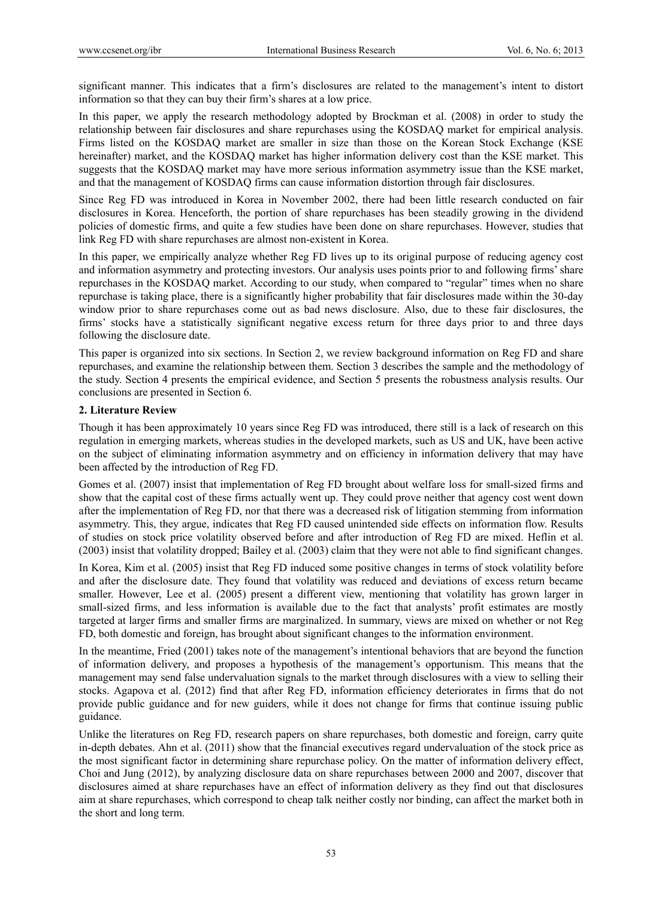significant manner. This indicates that a firm's disclosures are related to the management's intent to distort information so that they can buy their firm's shares at a low price.

In this paper, we apply the research methodology adopted by Brockman et al. (2008) in order to study the relationship between fair disclosures and share repurchases using the KOSDAQ market for empirical analysis. Firms listed on the KOSDAQ market are smaller in size than those on the Korean Stock Exchange (KSE hereinafter) market, and the KOSDAQ market has higher information delivery cost than the KSE market. This suggests that the KOSDAQ market may have more serious information asymmetry issue than the KSE market, and that the management of KOSDAQ firms can cause information distortion through fair disclosures.

Since Reg FD was introduced in Korea in November 2002, there had been little research conducted on fair disclosures in Korea. Henceforth, the portion of share repurchases has been steadily growing in the dividend policies of domestic firms, and quite a few studies have been done on share repurchases. However, studies that link Reg FD with share repurchases are almost non-existent in Korea.

In this paper, we empirically analyze whether Reg FD lives up to its original purpose of reducing agency cost and information asymmetry and protecting investors. Our analysis uses points prior to and following firms' share repurchases in the KOSDAQ market. According to our study, when compared to "regular" times when no share repurchase is taking place, there is a significantly higher probability that fair disclosures made within the 30-day window prior to share repurchases come out as bad news disclosure. Also, due to these fair disclosures, the firms' stocks have a statistically significant negative excess return for three days prior to and three days following the disclosure date.

This paper is organized into six sections. In Section 2, we review background information on Reg FD and share repurchases, and examine the relationship between them. Section 3 describes the sample and the methodology of the study. Section 4 presents the empirical evidence, and Section 5 presents the robustness analysis results. Our conclusions are presented in Section 6.

# **2. Literature Review**

Though it has been approximately 10 years since Reg FD was introduced, there still is a lack of research on this regulation in emerging markets, whereas studies in the developed markets, such as US and UK, have been active on the subject of eliminating information asymmetry and on efficiency in information delivery that may have been affected by the introduction of Reg FD.

Gomes et al. (2007) insist that implementation of Reg FD brought about welfare loss for small-sized firms and show that the capital cost of these firms actually went up. They could prove neither that agency cost went down after the implementation of Reg FD, nor that there was a decreased risk of litigation stemming from information asymmetry. This, they argue, indicates that Reg FD caused unintended side effects on information flow. Results of studies on stock price volatility observed before and after introduction of Reg FD are mixed. Heflin et al. (2003) insist that volatility dropped; Bailey et al. (2003) claim that they were not able to find significant changes.

In Korea, Kim et al. (2005) insist that Reg FD induced some positive changes in terms of stock volatility before and after the disclosure date. They found that volatility was reduced and deviations of excess return became smaller. However, Lee et al. (2005) present a different view, mentioning that volatility has grown larger in small-sized firms, and less information is available due to the fact that analysts' profit estimates are mostly targeted at larger firms and smaller firms are marginalized. In summary, views are mixed on whether or not Reg FD, both domestic and foreign, has brought about significant changes to the information environment.

In the meantime, Fried (2001) takes note of the management's intentional behaviors that are beyond the function of information delivery, and proposes a hypothesis of the management's opportunism. This means that the management may send false undervaluation signals to the market through disclosures with a view to selling their stocks. Agapova et al. (2012) find that after Reg FD, information efficiency deteriorates in firms that do not provide public guidance and for new guiders, while it does not change for firms that continue issuing public guidance.

Unlike the literatures on Reg FD, research papers on share repurchases, both domestic and foreign, carry quite in-depth debates. Ahn et al. (2011) show that the financial executives regard undervaluation of the stock price as the most significant factor in determining share repurchase policy. On the matter of information delivery effect, Choi and Jung (2012), by analyzing disclosure data on share repurchases between 2000 and 2007, discover that disclosures aimed at share repurchases have an effect of information delivery as they find out that disclosures aim at share repurchases, which correspond to cheap talk neither costly nor binding, can affect the market both in the short and long term.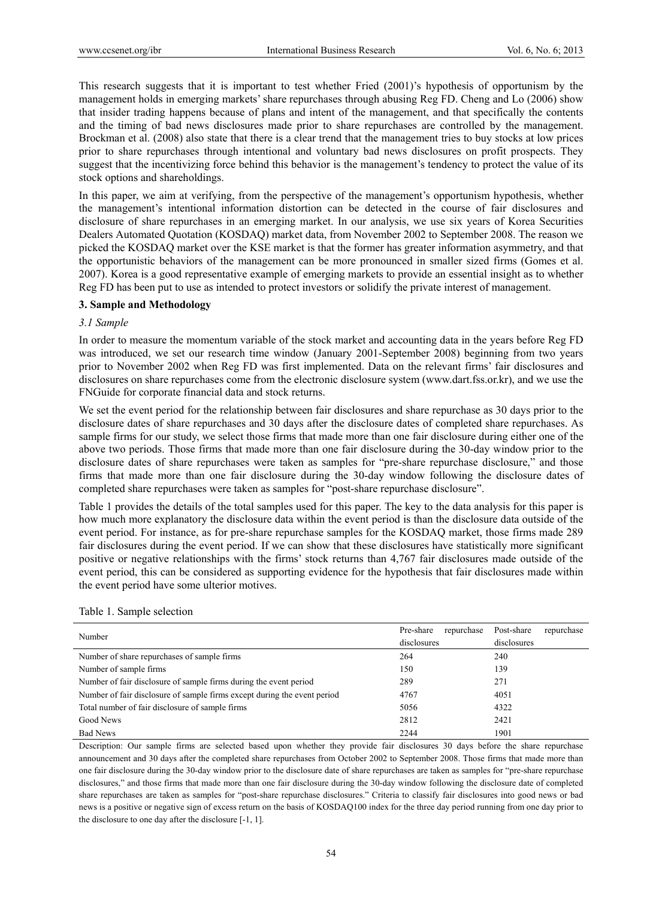This research suggests that it is important to test whether Fried (2001)'s hypothesis of opportunism by the management holds in emerging markets' share repurchases through abusing Reg FD. Cheng and Lo (2006) show that insider trading happens because of plans and intent of the management, and that specifically the contents and the timing of bad news disclosures made prior to share repurchases are controlled by the management. Brockman et al. (2008) also state that there is a clear trend that the management tries to buy stocks at low prices prior to share repurchases through intentional and voluntary bad news disclosures on profit prospects. They suggest that the incentivizing force behind this behavior is the management's tendency to protect the value of its stock options and shareholdings.

In this paper, we aim at verifying, from the perspective of the management's opportunism hypothesis, whether the management's intentional information distortion can be detected in the course of fair disclosures and disclosure of share repurchases in an emerging market. In our analysis, we use six years of Korea Securities Dealers Automated Quotation (KOSDAQ) market data, from November 2002 to September 2008. The reason we picked the KOSDAQ market over the KSE market is that the former has greater information asymmetry, and that the opportunistic behaviors of the management can be more pronounced in smaller sized firms (Gomes et al. 2007). Korea is a good representative example of emerging markets to provide an essential insight as to whether Reg FD has been put to use as intended to protect investors or solidify the private interest of management.

## **3. Sample and Methodology**

## *3.1 Sample*

In order to measure the momentum variable of the stock market and accounting data in the years before Reg FD was introduced, we set our research time window (January 2001-September 2008) beginning from two years prior to November 2002 when Reg FD was first implemented. Data on the relevant firms' fair disclosures and disclosures on share repurchases come from the electronic disclosure system (www.dart.fss.or.kr), and we use the FNGuide for corporate financial data and stock returns.

We set the event period for the relationship between fair disclosures and share repurchase as 30 days prior to the disclosure dates of share repurchases and 30 days after the disclosure dates of completed share repurchases. As sample firms for our study, we select those firms that made more than one fair disclosure during either one of the above two periods. Those firms that made more than one fair disclosure during the 30-day window prior to the disclosure dates of share repurchases were taken as samples for "pre-share repurchase disclosure," and those firms that made more than one fair disclosure during the 30-day window following the disclosure dates of completed share repurchases were taken as samples for "post-share repurchase disclosure".

Table 1 provides the details of the total samples used for this paper. The key to the data analysis for this paper is how much more explanatory the disclosure data within the event period is than the disclosure data outside of the event period. For instance, as for pre-share repurchase samples for the KOSDAQ market, those firms made 289 fair disclosures during the event period. If we can show that these disclosures have statistically more significant positive or negative relationships with the firms' stock returns than 4,767 fair disclosures made outside of the event period, this can be considered as supporting evidence for the hypothesis that fair disclosures made within the event period have some ulterior motives.

| Number                                                                   | Pre-share<br>repurchase | Post-share<br>repurchase |
|--------------------------------------------------------------------------|-------------------------|--------------------------|
|                                                                          | disclosures             | disclosures              |
| Number of share repurchases of sample firms                              | 264                     | 240                      |
| Number of sample firms                                                   | 150                     | 139                      |
| Number of fair disclosure of sample firms during the event period        | 289                     | 271                      |
| Number of fair disclosure of sample firms except during the event period | 4767                    | 4051                     |
| Total number of fair disclosure of sample firms                          | 5056                    | 4322                     |
| Good News                                                                | 2812                    | 2421                     |
| <b>Bad News</b>                                                          | 2244                    | 1901                     |

# Table 1. Sample selection

Description: Our sample firms are selected based upon whether they provide fair disclosures 30 days before the share repurchase announcement and 30 days after the completed share repurchases from October 2002 to September 2008. Those firms that made more than one fair disclosure during the 30-day window prior to the disclosure date of share repurchases are taken as samples for "pre-share repurchase disclosures," and those firms that made more than one fair disclosure during the 30-day window following the disclosure date of completed share repurchases are taken as samples for "post-share repurchase disclosures." Criteria to classify fair disclosures into good news or bad news is a positive or negative sign of excess return on the basis of KOSDAQ100 index for the three day period running from one day prior to the disclosure to one day after the disclosure [-1, 1].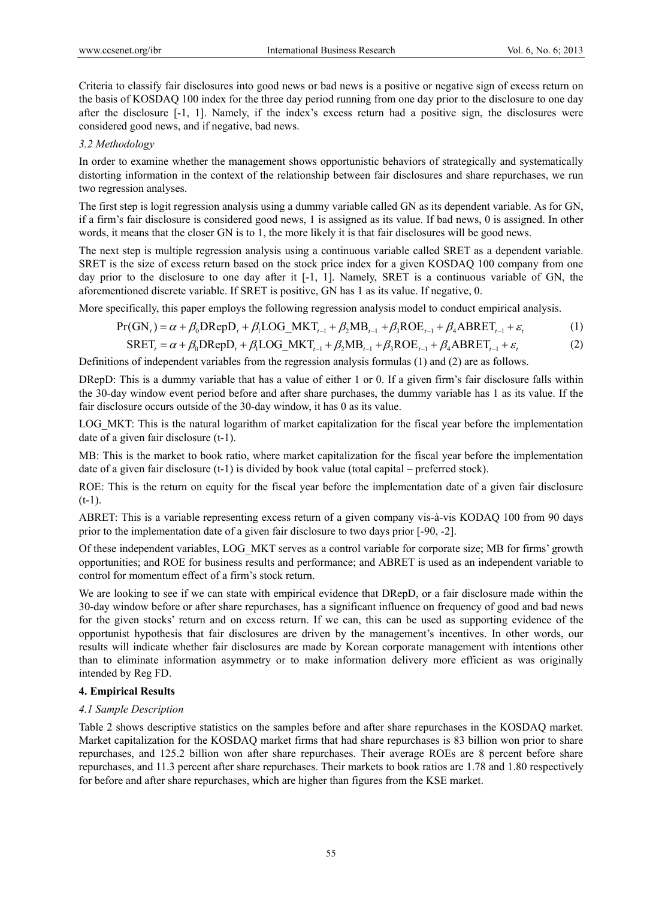Criteria to classify fair disclosures into good news or bad news is a positive or negative sign of excess return on the basis of KOSDAQ 100 index for the three day period running from one day prior to the disclosure to one day after the disclosure [-1, 1]. Namely, if the index's excess return had a positive sign, the disclosures were considered good news, and if negative, bad news.

## *3.2 Methodology*

In order to examine whether the management shows opportunistic behaviors of strategically and systematically distorting information in the context of the relationship between fair disclosures and share repurchases, we run two regression analyses.

The first step is logit regression analysis using a dummy variable called GN as its dependent variable. As for GN, if a firm's fair disclosure is considered good news, 1 is assigned as its value. If bad news, 0 is assigned. In other words, it means that the closer GN is to 1, the more likely it is that fair disclosures will be good news.

The next step is multiple regression analysis using a continuous variable called SRET as a dependent variable. SRET is the size of excess return based on the stock price index for a given KOSDAQ 100 company from one day prior to the disclosure to one day after it [-1, 1]. Namely, SRET is a continuous variable of GN, the aforementioned discrete variable. If SRET is positive, GN has 1 as its value. If negative, 0.

More specifically, this paper employs the following regression analysis model to conduct empirical analysis.

$$
Pr(GNt) = \alpha + \beta_0 DRepD_t + \beta_1 LOG\_MKTt-1 + \beta_2 MBt-1 + \beta_3 ROEt-1 + \beta_4 ABRETt-1 + \varepsilon_t
$$
 (1)

$$
SRET_t = \alpha + \beta_0 DRepD_t + \beta_1 LOG\_MKT_{t-1} + \beta_2 MB_{t-1} + \beta_3 ROE_{t-1} + \beta_4 ABRET_{t-1} + \varepsilon_t
$$
 (2)

Definitions of independent variables from the regression analysis formulas (1) and (2) are as follows.

DRepD: This is a dummy variable that has a value of either 1 or 0. If a given firm's fair disclosure falls within the 30-day window event period before and after share purchases, the dummy variable has 1 as its value. If the fair disclosure occurs outside of the 30-day window, it has 0 as its value.

LOG MKT: This is the natural logarithm of market capitalization for the fiscal year before the implementation date of a given fair disclosure (t-1).

MB: This is the market to book ratio, where market capitalization for the fiscal year before the implementation date of a given fair disclosure (t-1) is divided by book value (total capital – preferred stock).

ROE: This is the return on equity for the fiscal year before the implementation date of a given fair disclosure  $(t-1)$ .

ABRET: This is a variable representing excess return of a given company vis-à-vis KODAQ 100 from 90 days prior to the implementation date of a given fair disclosure to two days prior [-90, -2].

Of these independent variables, LOG\_MKT serves as a control variable for corporate size; MB for firms' growth opportunities; and ROE for business results and performance; and ABRET is used as an independent variable to control for momentum effect of a firm's stock return.

We are looking to see if we can state with empirical evidence that DRepD, or a fair disclosure made within the 30-day window before or after share repurchases, has a significant influence on frequency of good and bad news for the given stocks' return and on excess return. If we can, this can be used as supporting evidence of the opportunist hypothesis that fair disclosures are driven by the management's incentives. In other words, our results will indicate whether fair disclosures are made by Korean corporate management with intentions other than to eliminate information asymmetry or to make information delivery more efficient as was originally intended by Reg FD.

## **4. Empirical Results**

## *4.1 Sample Description*

Table 2 shows descriptive statistics on the samples before and after share repurchases in the KOSDAQ market. Market capitalization for the KOSDAQ market firms that had share repurchases is 83 billion won prior to share repurchases, and 125.2 billion won after share repurchases. Their average ROEs are 8 percent before share repurchases, and 11.3 percent after share repurchases. Their markets to book ratios are 1.78 and 1.80 respectively for before and after share repurchases, which are higher than figures from the KSE market.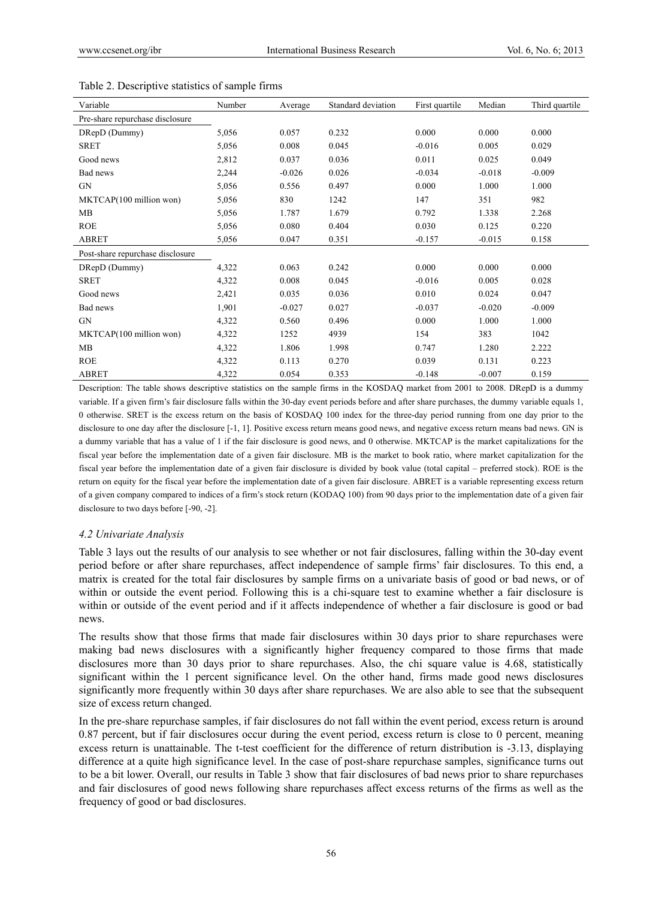| Variable                         | Number | Average  | Standard deviation | First quartile | Median   | Third quartile |
|----------------------------------|--------|----------|--------------------|----------------|----------|----------------|
| Pre-share repurchase disclosure  |        |          |                    |                |          |                |
| DRepD (Dummy)                    | 5,056  | 0.057    | 0.232              | 0.000          | 0.000    | 0.000          |
| <b>SRET</b>                      | 5,056  | 0.008    | 0.045              | $-0.016$       | 0.005    | 0.029          |
| Good news                        | 2,812  | 0.037    | 0.036              | 0.011          | 0.025    | 0.049          |
| Bad news                         | 2,244  | $-0.026$ | 0.026              | $-0.034$       | $-0.018$ | $-0.009$       |
| <b>GN</b>                        | 5,056  | 0.556    | 0.497              | 0.000          | 1.000    | 1.000          |
| MKTCAP(100 million won)          | 5,056  | 830      | 1242               | 147            | 351      | 982            |
| MB                               | 5,056  | 1.787    | 1.679              | 0.792          | 1.338    | 2.268          |
| <b>ROE</b>                       | 5,056  | 0.080    | 0.404              | 0.030          | 0.125    | 0.220          |
| <b>ABRET</b>                     | 5,056  | 0.047    | 0.351              | $-0.157$       | $-0.015$ | 0.158          |
| Post-share repurchase disclosure |        |          |                    |                |          |                |
| DRepD (Dummy)                    | 4,322  | 0.063    | 0.242              | 0.000          | 0.000    | 0.000          |
| <b>SRET</b>                      | 4,322  | 0.008    | 0.045              | $-0.016$       | 0.005    | 0.028          |
| Good news                        | 2,421  | 0.035    | 0.036              | 0.010          | 0.024    | 0.047          |
| Bad news                         | 1,901  | $-0.027$ | 0.027              | $-0.037$       | $-0.020$ | $-0.009$       |
| GN                               | 4,322  | 0.560    | 0.496              | 0.000          | 1.000    | 1.000          |
| MKTCAP(100 million won)          | 4,322  | 1252     | 4939               | 154            | 383      | 1042           |
| MB                               | 4,322  | 1.806    | 1.998              | 0.747          | 1.280    | 2.222          |
| <b>ROE</b>                       | 4,322  | 0.113    | 0.270              | 0.039          | 0.131    | 0.223          |
| <b>ABRET</b>                     | 4,322  | 0.054    | 0.353              | $-0.148$       | $-0.007$ | 0.159          |

Table 2. Descriptive statistics of sample firms

Description: The table shows descriptive statistics on the sample firms in the KOSDAQ market from 2001 to 2008. DRepD is a dummy variable. If a given firm's fair disclosure falls within the 30-day event periods before and after share purchases, the dummy variable equals 1, 0 otherwise. SRET is the excess return on the basis of KOSDAQ 100 index for the three-day period running from one day prior to the disclosure to one day after the disclosure [-1, 1]. Positive excess return means good news, and negative excess return means bad news. GN is a dummy variable that has a value of 1 if the fair disclosure is good news, and 0 otherwise. MKTCAP is the market capitalizations for the fiscal year before the implementation date of a given fair disclosure. MB is the market to book ratio, where market capitalization for the fiscal year before the implementation date of a given fair disclosure is divided by book value (total capital – preferred stock). ROE is the return on equity for the fiscal year before the implementation date of a given fair disclosure. ABRET is a variable representing excess return of a given company compared to indices of a firm's stock return (KODAQ 100) from 90 days prior to the implementation date of a given fair disclosure to two days before [-90, -2].

#### *4.2 Univariate Analysis*

Table 3 lays out the results of our analysis to see whether or not fair disclosures, falling within the 30-day event period before or after share repurchases, affect independence of sample firms' fair disclosures. To this end, a matrix is created for the total fair disclosures by sample firms on a univariate basis of good or bad news, or of within or outside the event period. Following this is a chi-square test to examine whether a fair disclosure is within or outside of the event period and if it affects independence of whether a fair disclosure is good or bad news.

The results show that those firms that made fair disclosures within 30 days prior to share repurchases were making bad news disclosures with a significantly higher frequency compared to those firms that made disclosures more than 30 days prior to share repurchases. Also, the chi square value is 4.68, statistically significant within the 1 percent significance level. On the other hand, firms made good news disclosures significantly more frequently within 30 days after share repurchases. We are also able to see that the subsequent size of excess return changed.

In the pre-share repurchase samples, if fair disclosures do not fall within the event period, excess return is around 0.87 percent, but if fair disclosures occur during the event period, excess return is close to 0 percent, meaning excess return is unattainable. The t-test coefficient for the difference of return distribution is -3.13, displaying difference at a quite high significance level. In the case of post-share repurchase samples, significance turns out to be a bit lower. Overall, our results in Table 3 show that fair disclosures of bad news prior to share repurchases and fair disclosures of good news following share repurchases affect excess returns of the firms as well as the frequency of good or bad disclosures.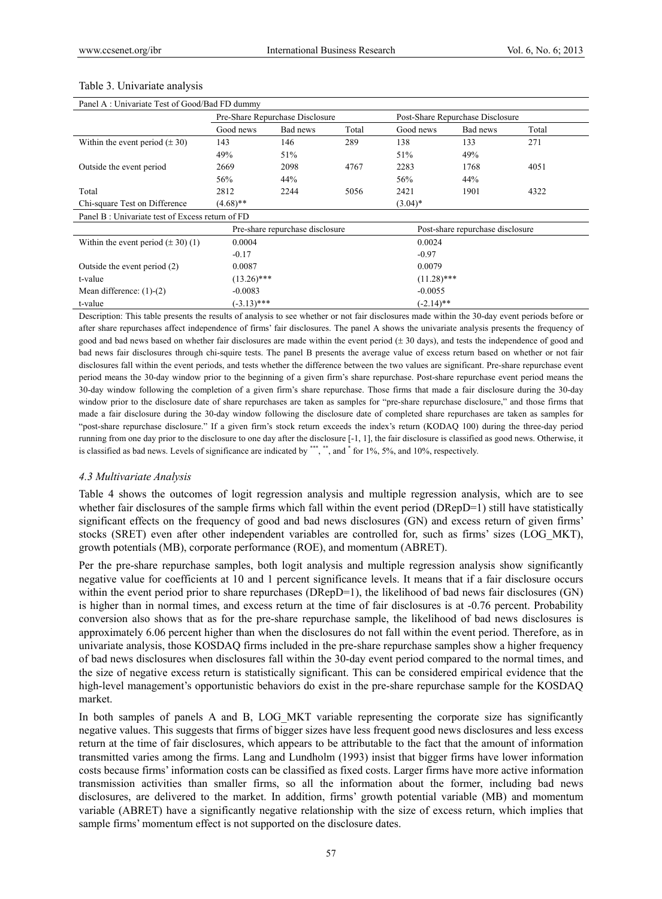Table 3. Univariate analysis

| Panel A: Univariate Test of Good/Bad FD dummy |  |
|-----------------------------------------------|--|
| Pre-Share Repurchase Disclosure               |  |

|                                                 | Pre-Share Repurchase Disclosure |                                 |       | Post-Share Repurchase Disclosure |                                  |       |  |
|-------------------------------------------------|---------------------------------|---------------------------------|-------|----------------------------------|----------------------------------|-------|--|
|                                                 | Good news                       | Bad news                        | Total | Good news                        | Bad news                         | Total |  |
| Within the event period $(\pm 30)$              | 143                             | 146                             | 289   | 138                              | 133                              | 271   |  |
|                                                 | 49%                             | 51%                             |       | 51%                              | 49%                              |       |  |
| Outside the event period                        | 2669                            | 2098                            | 4767  | 2283                             | 1768                             | 4051  |  |
|                                                 | 56%                             | 44%                             |       | 56%                              | 44%                              |       |  |
| Total                                           | 2812                            | 2244                            | 5056  | 2421                             | 1901                             | 4322  |  |
| Chi-square Test on Difference                   | $(4.68)$ **                     |                                 |       | $(3.04)^*$                       |                                  |       |  |
| Panel B: Univariate test of Excess return of FD |                                 |                                 |       |                                  |                                  |       |  |
|                                                 |                                 | Pre-share repurchase disclosure |       |                                  | Post-share repurchase disclosure |       |  |
| Within the event period $(\pm 30)$ (1)          | 0.0004                          |                                 |       | 0.0024                           |                                  |       |  |
|                                                 | $-0.17$                         |                                 |       | $-0.97$                          |                                  |       |  |
| Outside the event period (2)                    | 0.0087                          |                                 |       | 0.0079                           |                                  |       |  |
| t-value                                         | $(13.26)$ ***                   |                                 |       | $(11.28)$ ***                    |                                  |       |  |
| Mean difference: $(1)-(2)$                      | $-0.0083$                       |                                 |       | $-0.0055$                        |                                  |       |  |
| t-value                                         | $(-3.13)$ ***                   |                                 |       | $(-2.14)$ **                     |                                  |       |  |

Description: This table presents the results of analysis to see whether or not fair disclosures made within the 30-day event periods before or after share repurchases affect independence of firms' fair disclosures. The panel A shows the univariate analysis presents the frequency of good and bad news based on whether fair disclosures are made within the event period  $(± 30 \text{ days})$ , and tests the independence of good and bad news fair disclosures through chi-squire tests. The panel B presents the average value of excess return based on whether or not fair disclosures fall within the event periods, and tests whether the difference between the two values are significant. Pre-share repurchase event period means the 30-day window prior to the beginning of a given firm's share repurchase. Post-share repurchase event period means the 30-day window following the completion of a given firm's share repurchase. Those firms that made a fair disclosure during the 30-day window prior to the disclosure date of share repurchases are taken as samples for "pre-share repurchase disclosure," and those firms that made a fair disclosure during the 30-day window following the disclosure date of completed share repurchases are taken as samples for "post-share repurchase disclosure." If a given firm's stock return exceeds the index's return (KODAQ 100) during the three-day period running from one day prior to the disclosure to one day after the disclosure [-1, 1], the fair disclosure is classified as good news. Otherwise, it is classified as bad news. Levels of significance are indicated by \*\*\*, \*\*, and \* for 1%, 5%, and 10%, respectively.

#### *4.3 Multivariate Analysis*

Table 4 shows the outcomes of logit regression analysis and multiple regression analysis, which are to see whether fair disclosures of the sample firms which fall within the event period (DRepD=1) still have statistically significant effects on the frequency of good and bad news disclosures (GN) and excess return of given firms' stocks (SRET) even after other independent variables are controlled for, such as firms' sizes (LOG\_MKT), growth potentials (MB), corporate performance (ROE), and momentum (ABRET).

Per the pre-share repurchase samples, both logit analysis and multiple regression analysis show significantly negative value for coefficients at 10 and 1 percent significance levels. It means that if a fair disclosure occurs within the event period prior to share repurchases (DRepD=1), the likelihood of bad news fair disclosures (GN) is higher than in normal times, and excess return at the time of fair disclosures is at -0.76 percent. Probability conversion also shows that as for the pre-share repurchase sample, the likelihood of bad news disclosures is approximately 6.06 percent higher than when the disclosures do not fall within the event period. Therefore, as in univariate analysis, those KOSDAQ firms included in the pre-share repurchase samples show a higher frequency of bad news disclosures when disclosures fall within the 30-day event period compared to the normal times, and the size of negative excess return is statistically significant. This can be considered empirical evidence that the high-level management's opportunistic behaviors do exist in the pre-share repurchase sample for the KOSDAQ market.

In both samples of panels A and B, LOG MKT variable representing the corporate size has significantly negative values. This suggests that firms of bigger sizes have less frequent good news disclosures and less excess return at the time of fair disclosures, which appears to be attributable to the fact that the amount of information transmitted varies among the firms. Lang and Lundholm (1993) insist that bigger firms have lower information costs because firms' information costs can be classified as fixed costs. Larger firms have more active information transmission activities than smaller firms, so all the information about the former, including bad news disclosures, are delivered to the market. In addition, firms' growth potential variable (MB) and momentum variable (ABRET) have a significantly negative relationship with the size of excess return, which implies that sample firms' momentum effect is not supported on the disclosure dates.

#### 57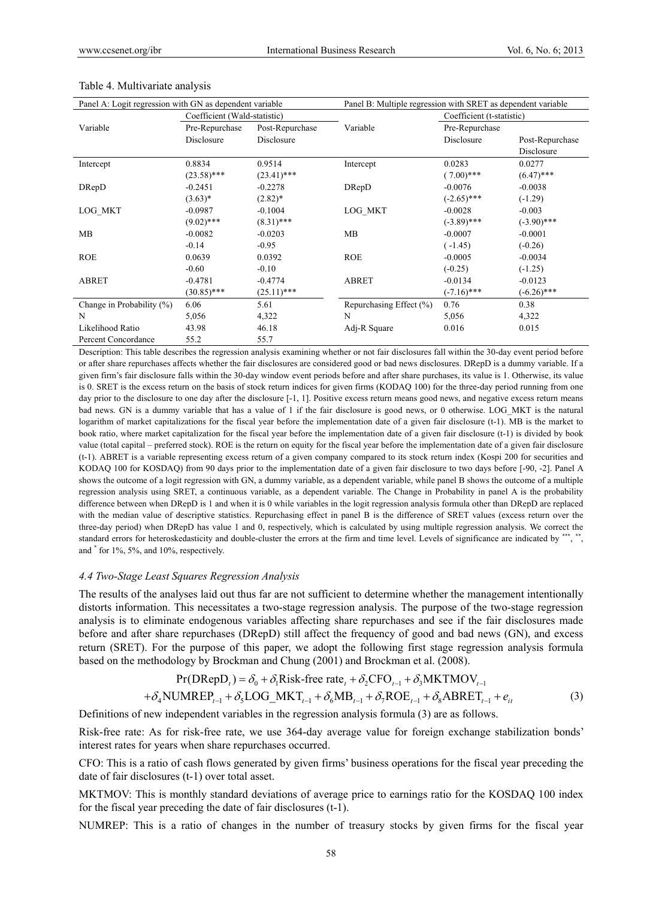| Panel A: Logit regression with GN as dependent variable |                              | Panel B: Multiple regression with SRET as dependent variable |                         |                           |                 |  |
|---------------------------------------------------------|------------------------------|--------------------------------------------------------------|-------------------------|---------------------------|-----------------|--|
|                                                         | Coefficient (Wald-statistic) |                                                              |                         | Coefficient (t-statistic) |                 |  |
| Variable                                                | Pre-Repurchase               | Post-Repurchase                                              | Variable                | Pre-Repurchase            |                 |  |
|                                                         | Disclosure                   | Disclosure                                                   |                         | Disclosure                | Post-Repurchase |  |
|                                                         |                              |                                                              |                         |                           | Disclosure      |  |
| Intercept                                               | 0.8834                       | 0.9514                                                       | Intercept               | 0.0283                    | 0.0277          |  |
|                                                         | $(23.58)$ ***                | $(23.41)$ ***                                                |                         | $(.7.00)$ ***             | $(6.47)$ ***    |  |
| DRepD                                                   | $-0.2451$                    | $-0.2278$                                                    | DRepD                   | $-0.0076$                 | $-0.0038$       |  |
|                                                         | $(3.63)*$                    | $(2.82)*$                                                    |                         | $(-2.65)$ ***             | $(-1.29)$       |  |
| LOG MKT                                                 | $-0.0987$                    | $-0.1004$                                                    | LOG MKT                 | $-0.0028$                 | $-0.003$        |  |
|                                                         | $(9.02)$ ***                 | $(8.31)$ ***                                                 |                         | $(-3.89)$ ***             | $(-3.90)$ ***   |  |
| <b>MB</b>                                               | $-0.0082$                    | $-0.0203$                                                    | MB                      | $-0.0007$                 | $-0.0001$       |  |
|                                                         | $-0.14$                      | $-0.95$                                                      |                         | $(-1.45)$                 | $(-0.26)$       |  |
| <b>ROE</b>                                              | 0.0639                       | 0.0392                                                       | <b>ROE</b>              | $-0.0005$                 | $-0.0034$       |  |
|                                                         | $-0.60$                      | $-0.10$                                                      |                         | $(-0.25)$                 | $(-1.25)$       |  |
| <b>ABRET</b>                                            | $-0.4781$                    | $-0.4774$                                                    | <b>ABRET</b>            | $-0.0134$                 | $-0.0123$       |  |
|                                                         | $(30.85)$ ***                | $(25.11)$ ***                                                |                         | $(-7.16)$ ***             | $(-6.26)$ ***   |  |
| Change in Probability (%)                               | 6.06                         | 5.61                                                         | Repurchasing Effect (%) | 0.76                      | 0.38            |  |
| N                                                       | 5,056                        | 4,322                                                        | N                       | 5,056                     | 4,322           |  |
| Likelihood Ratio                                        | 43.98                        | 46.18                                                        | Adj-R Square            | 0.016                     | 0.015           |  |
| Percent Concordance                                     | 55.2                         | 55.7                                                         |                         |                           |                 |  |

#### Table 4. Multivariate analysis

Description: This table describes the regression analysis examining whether or not fair disclosures fall within the 30-day event period before or after share repurchases affects whether the fair disclosures are considered good or bad news disclosures. DRepD is a dummy variable. If a given firm's fair disclosure falls within the 30-day window event periods before and after share purchases, its value is 1. Otherwise, its value is 0. SRET is the excess return on the basis of stock return indices for given firms (KODAQ 100) for the three-day period running from one day prior to the disclosure to one day after the disclosure [-1, 1]. Positive excess return means good news, and negative excess return means bad news. GN is a dummy variable that has a value of 1 if the fair disclosure is good news, or 0 otherwise. LOG\_MKT is the natural logarithm of market capitalizations for the fiscal year before the implementation date of a given fair disclosure (t-1). MB is the market to book ratio, where market capitalization for the fiscal year before the implementation date of a given fair disclosure (t-1) is divided by book value (total capital – preferred stock). ROE is the return on equity for the fiscal year before the implementation date of a given fair disclosure (t-1). ABRET is a variable representing excess return of a given company compared to its stock return index (Kospi 200 for securities and KODAQ 100 for KOSDAQ) from 90 days prior to the implementation date of a given fair disclosure to two days before [-90, -2]. Panel A shows the outcome of a logit regression with GN, a dummy variable, as a dependent variable, while panel B shows the outcome of a multiple regression analysis using SRET, a continuous variable, as a dependent variable. The Change in Probability in panel A is the probability difference between when DRepD is 1 and when it is 0 while variables in the logit regression analysis formula other than DRepD are replaced with the median value of descriptive statistics. Repurchasing effect in panel B is the difference of SRET values (excess return over the three-day period) when DRepD has value 1 and 0, respectively, which is calculated by using multiple regression analysis. We correct the standard errors for heteroskedasticity and double-cluster the errors at the firm and time level. Levels of significance are indicated by ' and \* for 1%, 5%, and 10%, respectively.

## *4.4 Two-Stage Least Squares Regression Analysis*

The results of the analyses laid out thus far are not sufficient to determine whether the management intentionally distorts information. This necessitates a two-stage regression analysis. The purpose of the two-stage regression analysis is to eliminate endogenous variables affecting share repurchases and see if the fair disclosures made before and after share repurchases (DRepD) still affect the frequency of good and bad news (GN), and excess return (SRET). For the purpose of this paper, we adopt the following first stage regression analysis formula based on the methodology by Brockman and Chung (2001) and Brockman et al. (2008).

$$
Pr(DRepDt) = \delta_0 + \delta_1 Risk-free ratet + \delta_2 CFOt-1 + \delta_3 MKTMOVt-1
$$
  
+  $\delta_4$  NUMREP<sub>t-1</sub> +  $\delta_5$ LOG\_MKT<sub>t-1</sub> +  $\delta_6$ MB<sub>t-1</sub> +  $\delta_7$ ROE<sub>t-1</sub> +  $\delta_8$ ABRET<sub>t-1</sub> +  $e_{it}$  (3)

Definitions of new independent variables in the regression analysis formula (3) are as follows.

Risk-free rate: As for risk-free rate, we use 364-day average value for foreign exchange stabilization bonds' interest rates for years when share repurchases occurred.

CFO: This is a ratio of cash flows generated by given firms' business operations for the fiscal year preceding the date of fair disclosures (t-1) over total asset.

MKTMOV: This is monthly standard deviations of average price to earnings ratio for the KOSDAQ 100 index for the fiscal year preceding the date of fair disclosures (t-1).

NUMREP: This is a ratio of changes in the number of treasury stocks by given firms for the fiscal year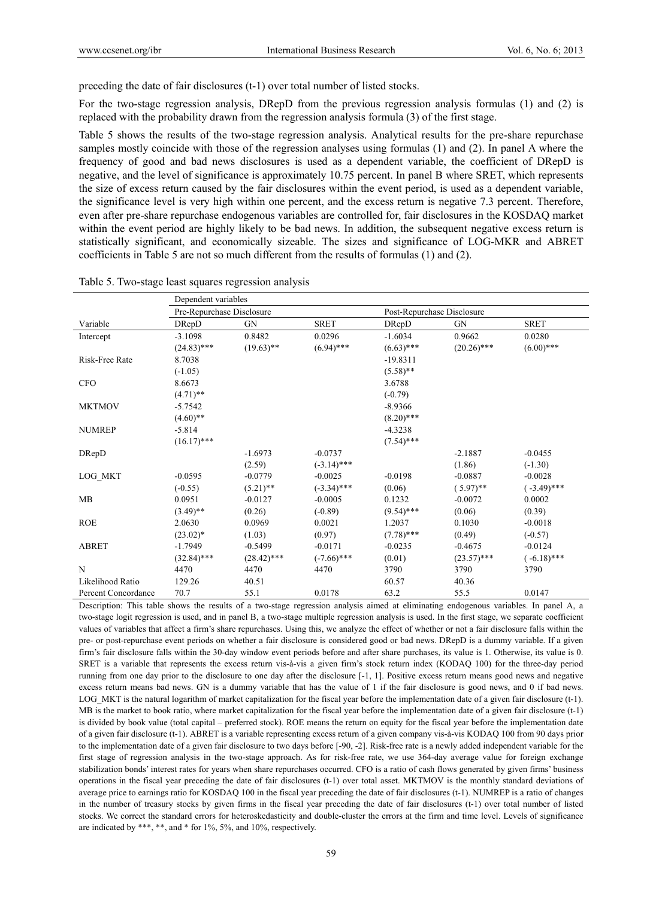preceding the date of fair disclosures (t-1) over total number of listed stocks.

For the two-stage regression analysis, DRepD from the previous regression analysis formulas (1) and (2) is replaced with the probability drawn from the regression analysis formula (3) of the first stage.

Table 5 shows the results of the two-stage regression analysis. Analytical results for the pre-share repurchase samples mostly coincide with those of the regression analyses using formulas (1) and (2). In panel A where the frequency of good and bad news disclosures is used as a dependent variable, the coefficient of DRepD is negative, and the level of significance is approximately 10.75 percent. In panel B where SRET, which represents the size of excess return caused by the fair disclosures within the event period, is used as a dependent variable, the significance level is very high within one percent, and the excess return is negative 7.3 percent. Therefore, even after pre-share repurchase endogenous variables are controlled for, fair disclosures in the KOSDAQ market within the event period are highly likely to be bad news. In addition, the subsequent negative excess return is statistically significant, and economically sizeable. The sizes and significance of LOG-MKR and ABRET coefficients in Table 5 are not so much different from the results of formulas (1) and (2).

|                     | Dependent variables       |               |               |                            |               |               |
|---------------------|---------------------------|---------------|---------------|----------------------------|---------------|---------------|
|                     | Pre-Repurchase Disclosure |               |               | Post-Repurchase Disclosure |               |               |
| Variable            | DRepD                     | <b>GN</b>     | <b>SRET</b>   | DRepD                      | <b>GN</b>     | <b>SRET</b>   |
| Intercept           | $-3.1098$                 | 0.8482        | 0.0296        | $-1.6034$                  | 0.9662        | 0.0280        |
|                     | $(24.83)$ ***             | $(19.63)$ **  | $(6.94)$ ***  | $(6.63)$ ***               | $(20.26)$ *** | $(6.00)$ ***  |
| Risk-Free Rate      | 8.7038                    |               |               | $-19.8311$                 |               |               |
|                     | $(-1.05)$                 |               |               | $(5.58)$ **                |               |               |
| <b>CFO</b>          | 8.6673                    |               |               | 3.6788                     |               |               |
|                     | $(4.71)$ **               |               |               | $(-0.79)$                  |               |               |
| <b>MKTMOV</b>       | $-5.7542$                 |               |               | $-8.9366$                  |               |               |
|                     | $(4.60)$ **               |               |               | $(8.20)$ ***               |               |               |
| <b>NUMREP</b>       | $-5.814$                  |               |               | $-4.3238$                  |               |               |
|                     | $(16.17)$ ***             |               |               | $(7.54)$ ***               |               |               |
| DRepD               |                           | $-1.6973$     | $-0.0737$     |                            | $-2.1887$     | $-0.0455$     |
|                     |                           | (2.59)        | $(-3.14)$ *** |                            | (1.86)        | $(-1.30)$     |
| LOG_MKT             | $-0.0595$                 | $-0.0779$     | $-0.0025$     | $-0.0198$                  | $-0.0887$     | $-0.0028$     |
|                     | $(-0.55)$                 | $(5.21)$ **   | $(-3.34)$ *** | (0.06)                     | $(.5.97)$ **  | $(-3.49)$ *** |
| MB                  | 0.0951                    | $-0.0127$     | $-0.0005$     | 0.1232                     | $-0.0072$     | 0.0002        |
|                     | $(3.49)$ **               | (0.26)        | $(-0.89)$     | $(9.54)$ ***               | (0.06)        | (0.39)        |
| <b>ROE</b>          | 2.0630                    | 0.0969        | 0.0021        | 1.2037                     | 0.1030        | $-0.0018$     |
|                     | $(23.02)^*$               | (1.03)        | (0.97)        | $(7.78)$ ***               | (0.49)        | $(-0.57)$     |
| <b>ABRET</b>        | $-1.7949$                 | $-0.5499$     | $-0.0171$     | $-0.0235$                  | $-0.4675$     | $-0.0124$     |
|                     | $(32.84)$ ***             | $(28.42)$ *** | $(-7.66)$ *** | (0.01)                     | $(23.57)$ *** | $(-6.18)$ *** |
| N                   | 4470                      | 4470          | 4470          | 3790                       | 3790          | 3790          |
| Likelihood Ratio    | 129.26                    | 40.51         |               | 60.57                      | 40.36         |               |
| Percent Concordance | 70.7                      | 55.1          | 0.0178        | 63.2                       | 55.5          | 0.0147        |

|  | Table 5. Two-stage least squares regression analysis |  |
|--|------------------------------------------------------|--|
|  |                                                      |  |

Description: This table shows the results of a two-stage regression analysis aimed at eliminating endogenous variables. In panel A, a two-stage logit regression is used, and in panel B, a two-stage multiple regression analysis is used. In the first stage, we separate coefficient values of variables that affect a firm's share repurchases. Using this, we analyze the effect of whether or not a fair disclosure falls within the pre- or post-repurchase event periods on whether a fair disclosure is considered good or bad news. DRepD is a dummy variable. If a given firm's fair disclosure falls within the 30-day window event periods before and after share purchases, its value is 1. Otherwise, its value is 0. SRET is a variable that represents the excess return vis-à-vis a given firm's stock return index (KODAQ 100) for the three-day period running from one day prior to the disclosure to one day after the disclosure [-1, 1]. Positive excess return means good news and negative excess return means bad news. GN is a dummy variable that has the value of 1 if the fair disclosure is good news, and 0 if bad news. LOG\_MKT is the natural logarithm of market capitalization for the fiscal year before the implementation date of a given fair disclosure (t-1). MB is the market to book ratio, where market capitalization for the fiscal year before the implementation date of a given fair disclosure (t-1) is divided by book value (total capital – preferred stock). ROE means the return on equity for the fiscal year before the implementation date of a given fair disclosure (t-1). ABRET is a variable representing excess return of a given company vis-à-vis KODAQ 100 from 90 days prior to the implementation date of a given fair disclosure to two days before [-90, -2]. Risk-free rate is a newly added independent variable for the first stage of regression analysis in the two-stage approach. As for risk-free rate, we use 364-day average value for foreign exchange stabilization bonds' interest rates for years when share repurchases occurred. CFO is a ratio of cash flows generated by given firms' business operations in the fiscal year preceding the date of fair disclosures (t-1) over total asset. MKTMOV is the monthly standard deviations of average price to earnings ratio for KOSDAQ 100 in the fiscal year preceding the date of fair disclosures (t-1). NUMREP is a ratio of changes in the number of treasury stocks by given firms in the fiscal year preceding the date of fair disclosures (t-1) over total number of listed stocks. We correct the standard errors for heteroskedasticity and double-cluster the errors at the firm and time level. Levels of significance are indicated by \*\*\*, \*\*, and \* for 1%, 5%, and 10%, respectively.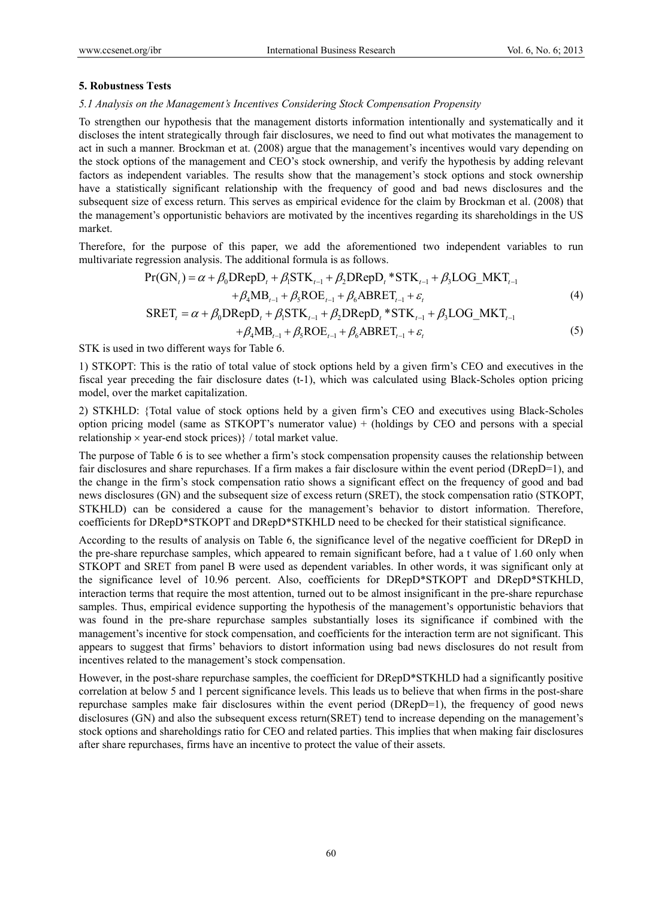## **5. Robustness Tests**

# *5.1 Analysis on the Management's Incentives Considering Stock Compensation Propensity*

To strengthen our hypothesis that the management distorts information intentionally and systematically and it discloses the intent strategically through fair disclosures, we need to find out what motivates the management to act in such a manner. Brockman et at. (2008) argue that the management's incentives would vary depending on the stock options of the management and CEO's stock ownership, and verify the hypothesis by adding relevant factors as independent variables. The results show that the management's stock options and stock ownership have a statistically significant relationship with the frequency of good and bad news disclosures and the subsequent size of excess return. This serves as empirical evidence for the claim by Brockman et al. (2008) that the management's opportunistic behaviors are motivated by the incentives regarding its shareholdings in the US market.

Therefore, for the purpose of this paper, we add the aforementioned two independent variables to run multivariate regression analysis. The additional formula is as follows.

$$
Pr(GNt) = \alpha + \beta_0 DRepDt + \beta_1 STKt-1 + \beta_2 DRepDt * STKt-1 + \beta_3 LOG_MKTt-1+ \beta_4 MBt-1 + \beta_5 ROEt-1 + \beta_6 ABRETt-1 + \varepsilont
$$
\n(4)  
\n
$$
SRETt = \alpha + \beta_0 DRepDt + \beta_1 STKt-1 + \beta_2 DRepDt * STKt-1 + \beta_3 LOG_MKTt-1
$$

$$
+\beta_4 \text{MB}_{t-1} + \beta_5 \text{ROE}_{t-1} + \beta_6 \text{ABRET}_{t-1} + \varepsilon_t
$$
\n
$$
\tag{5}
$$

STK is used in two different ways for Table 6.

1) STKOPT: This is the ratio of total value of stock options held by a given firm's CEO and executives in the fiscal year preceding the fair disclosure dates (t-1), which was calculated using Black-Scholes option pricing model, over the market capitalization.

2) STKHLD: {Total value of stock options held by a given firm's CEO and executives using Black-Scholes option pricing model (same as STKOPT's numerator value) + (holdings by CEO and persons with a special relationship  $\times$  year-end stock prices)} / total market value.

The purpose of Table 6 is to see whether a firm's stock compensation propensity causes the relationship between fair disclosures and share repurchases. If a firm makes a fair disclosure within the event period (DRepD=1), and the change in the firm's stock compensation ratio shows a significant effect on the frequency of good and bad news disclosures (GN) and the subsequent size of excess return (SRET), the stock compensation ratio (STKOPT, STKHLD) can be considered a cause for the management's behavior to distort information. Therefore, coefficients for DRepD\*STKOPT and DRepD\*STKHLD need to be checked for their statistical significance.

According to the results of analysis on Table 6, the significance level of the negative coefficient for DRepD in the pre-share repurchase samples, which appeared to remain significant before, had a t value of 1.60 only when STKOPT and SRET from panel B were used as dependent variables. In other words, it was significant only at the significance level of 10.96 percent. Also, coefficients for DRepD\*STKOPT and DRepD\*STKHLD, interaction terms that require the most attention, turned out to be almost insignificant in the pre-share repurchase samples. Thus, empirical evidence supporting the hypothesis of the management's opportunistic behaviors that was found in the pre-share repurchase samples substantially loses its significance if combined with the management's incentive for stock compensation, and coefficients for the interaction term are not significant. This appears to suggest that firms' behaviors to distort information using bad news disclosures do not result from incentives related to the management's stock compensation.

However, in the post-share repurchase samples, the coefficient for DRepD\*STKHLD had a significantly positive correlation at below 5 and 1 percent significance levels. This leads us to believe that when firms in the post-share repurchase samples make fair disclosures within the event period (DRepD=1), the frequency of good news disclosures (GN) and also the subsequent excess return(SRET) tend to increase depending on the management's stock options and shareholdings ratio for CEO and related parties. This implies that when making fair disclosures after share repurchases, firms have an incentive to protect the value of their assets.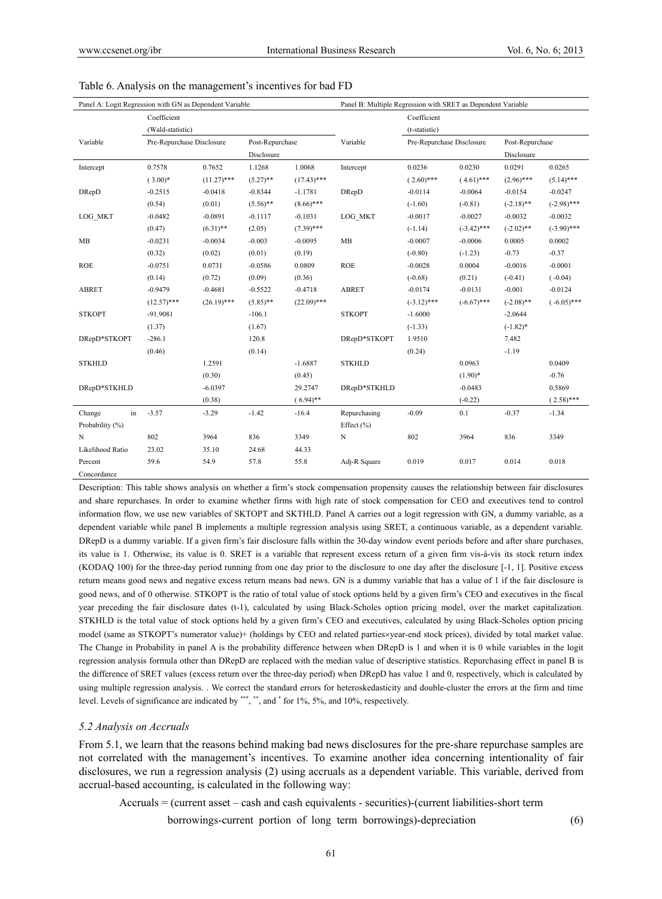| Panel A: Logit Regression with GN as Dependent Variable |                           |               | Panel B: Multiple Regression with SRET as Dependent Variable |               |                |                           |               |                 |               |
|---------------------------------------------------------|---------------------------|---------------|--------------------------------------------------------------|---------------|----------------|---------------------------|---------------|-----------------|---------------|
|                                                         | Coefficient               |               |                                                              |               |                | Coefficient               |               |                 |               |
|                                                         | (Wald-statistic)          |               |                                                              |               |                | (t-statistic)             |               |                 |               |
| Variable                                                | Pre-Repurchase Disclosure |               | Post-Repurchase                                              |               | Variable       | Pre-Repurchase Disclosure |               | Post-Repurchase |               |
|                                                         |                           |               | Disclosure                                                   |               |                |                           |               | Disclosure      |               |
| Intercept                                               | 0.7578                    | 0.7652        | 1.1268                                                       | 1.0068        | Intercept      | 0.0236                    | 0.0230        | 0.0291          | 0.0265        |
|                                                         | $(.3.00)*$                | $(11.27)$ *** | $(5.27)$ **                                                  | $(17.43)$ *** |                | $(.2.60)$ ***             | $(4.61)$ ***  | $(2.96)$ ***    | $(5.14)$ ***  |
| DRepD                                                   | $-0.2515$                 | $-0.0418$     | $-0.8344$                                                    | $-1.1781$     | DRepD          | $-0.0114$                 | $-0.0064$     | $-0.0154$       | $-0.0247$     |
|                                                         | (0.54)                    | (0.01)        | $(5.56)$ **                                                  | $(8.66)$ ***  |                | $(-1.60)$                 | $(-0.81)$     | $(-2.18)$ **    | $(-2.98)$ *** |
| LOG MKT                                                 | $-0.0482$                 | $-0.0891$     | $-0.1117$                                                    | $-0.1031$     | LOG MKT        | $-0.0017$                 | $-0.0027$     | $-0.0032$       | $-0.0032$     |
|                                                         | (0.47)                    | $(6.31)$ **   | (2.05)                                                       | $(7.39)$ ***  |                | $(-1.14)$                 | $(-3.42)$ *** | $(-2.02)$ **    | $(-3.90)$ *** |
| MB                                                      | $-0.0231$                 | $-0.0034$     | $-0.003$                                                     | $-0.0095$     | MB             | $-0.0007$                 | $-0.0006$     | 0.0005          | 0.0002        |
|                                                         | (0.32)                    | (0.02)        | (0.01)                                                       | (0.19)        |                | $(-0.80)$                 | $(-1.23)$     | $-0.73$         | $-0.37$       |
| <b>ROE</b>                                              | $-0.0751$                 | 0.0731        | $-0.0586$                                                    | 0.0809        | <b>ROE</b>     | $-0.0028$                 | 0.0004        | $-0.0016$       | $-0.0001$     |
|                                                         | (0.14)                    | (0.72)        | (0.09)                                                       | (0.36)        |                | $(-0.68)$                 | (0.21)        | $(-0.41)$       | $(-0.04)$     |
| <b>ABRET</b>                                            | $-0.9479$                 | $-0.4681$     | $-0.5522$                                                    | $-0.4718$     | <b>ABRET</b>   | $-0.0174$                 | $-0.0131$     | $-0.001$        | $-0.0124$     |
|                                                         | $(12.57)$ ***             | $(26.19)$ *** | $(5.85)$ **                                                  | $(22.09)$ *** |                | $(-3.12)$ ***             | $(-6.67)$ *** | $(-2.08)$ **    | $(-6.05)$ *** |
| <b>STKOPT</b>                                           | $-91.9081$                |               | $-106.1$                                                     |               | <b>STKOPT</b>  | $-1.6000$                 |               | $-2.0644$       |               |
|                                                         | (1.37)                    |               | (1.67)                                                       |               |                | $(-1.33)$                 |               | $(-1.82)$ *     |               |
| DRepD*STKOPT                                            | $-286.1$                  |               | 120.8                                                        |               | DRepD*STKOPT   | 1.9510                    |               | 7.482           |               |
|                                                         | (0.46)                    |               | (0.14)                                                       |               |                | (0.24)                    |               | $-1.19$         |               |
| <b>STKHLD</b>                                           |                           | 1.2591        |                                                              | $-1.6887$     | <b>STKHLD</b>  |                           | 0.0963        |                 | 0.0409        |
|                                                         |                           | (0.30)        |                                                              | (0.45)        |                |                           | $(1.90)*$     |                 | $-0.76$       |
| DRepD*STKHLD                                            |                           | $-6.0397$     |                                                              | 29.2747       | DRepD*STKHLD   |                           | $-0.0483$     |                 | 0.5869        |
|                                                         |                           | (0.38)        |                                                              | $(6.94)$ **   |                |                           | $(-0.22)$     |                 | $(2.58)$ ***  |
| Change<br>in                                            | $-3.57$                   | $-3.29$       | $-1.42$                                                      | $-16.4$       | Repurchasing   | $-0.09$                   | 0.1           | $-0.37$         | $-1.34$       |
| Probability (%)                                         |                           |               |                                                              |               | Effect $(\% )$ |                           |               |                 |               |
| N                                                       | 802                       | 3964          | 836                                                          | 3349          | N              | 802                       | 3964          | 836             | 3349          |
| Likelihood Ratio                                        | 23.02                     | 35.10         | 24.68                                                        | 44.33         |                |                           |               |                 |               |
| Percent                                                 | 59.6                      | 54.9          | 57.8                                                         | 55.8          | Adj-R Square   | 0.019                     | 0.017         | 0.014           | 0.018         |
| Concordance                                             |                           |               |                                                              |               |                |                           |               |                 |               |

Table 6. Analysis on the management's incentives for bad FD

Description: This table shows analysis on whether a firm's stock compensation propensity causes the relationship between fair disclosures and share repurchases. In order to examine whether firms with high rate of stock compensation for CEO and executives tend to control information flow, we use new variables of SKTOPT and SKTHLD. Panel A carries out a logit regression with GN, a dummy variable, as a dependent variable while panel B implements a multiple regression analysis using SRET, a continuous variable, as a dependent variable. DRepD is a dummy variable. If a given firm's fair disclosure falls within the 30-day window event periods before and after share purchases, its value is 1. Otherwise, its value is 0. SRET is a variable that represent excess return of a given firm vis-à-vis its stock return index (KODAQ 100) for the three-day period running from one day prior to the disclosure to one day after the disclosure [-1, 1]. Positive excess return means good news and negative excess return means bad news. GN is a dummy variable that has a value of 1 if the fair disclosure is good news, and of 0 otherwise. STKOPT is the ratio of total value of stock options held by a given firm's CEO and executives in the fiscal year preceding the fair disclosure dates (t-1), calculated by using Black-Scholes option pricing model, over the market capitalization. STKHLD is the total value of stock options held by a given firm's CEO and executives, calculated by using Black-Scholes option pricing model (same as STKOPT's numerator value)+ (holdings by CEO and related partiesyear-end stock prices), divided by total market value. The Change in Probability in panel A is the probability difference between when DRepD is 1 and when it is 0 while variables in the logit regression analysis formula other than DRepD are replaced with the median value of descriptive statistics. Repurchasing effect in panel B is the difference of SRET values (excess return over the three-day period) when DRepD has value 1 and 0, respectively, which is calculated by using multiple regression analysis. . We correct the standard errors for heteroskedasticity and double-cluster the errors at the firm and time level. Levels of significance are indicated by \*\*\*, \*\*, and  $*$  for 1%, 5%, and 10%, respectively.

#### *5.2 Analysis on Accruals*

From 5.1, we learn that the reasons behind making bad news disclosures for the pre-share repurchase samples are not correlated with the management's incentives. To examine another idea concerning intentionality of fair disclosures, we run a regression analysis (2) using accruals as a dependent variable. This variable, derived from accrual-based accounting, is calculated in the following way:

Accruals = (current asset – cash and cash equivalents - securities)-(current liabilities-short term

borrowings-current portion of long term borrowings)-depreciation (6)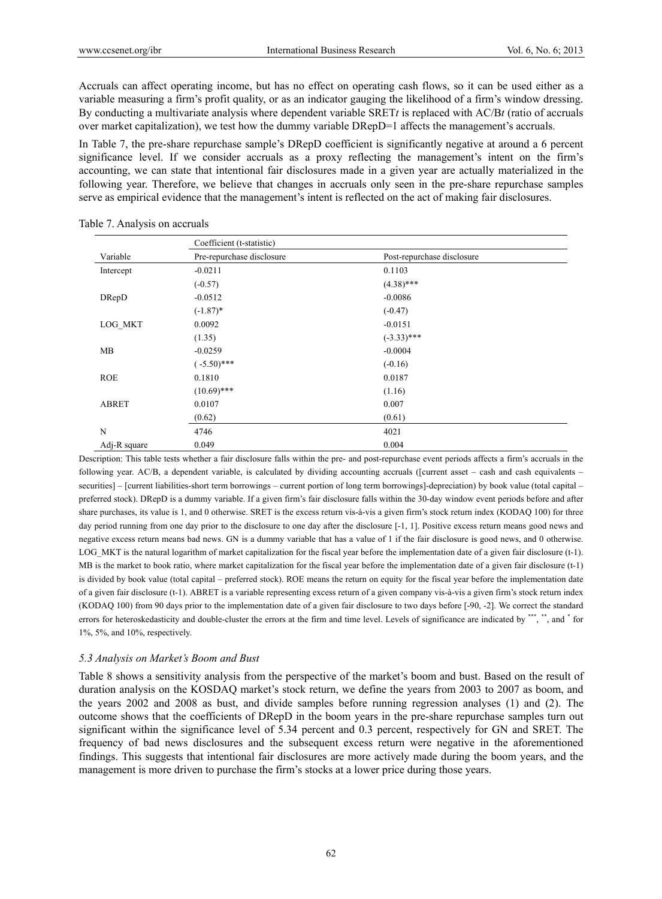Accruals can affect operating income, but has no effect on operating cash flows, so it can be used either as a variable measuring a firm's profit quality, or as an indicator gauging the likelihood of a firm's window dressing. By conducting a multivariate analysis where dependent variable SRET*t* is replaced with AC/B*t* (ratio of accruals over market capitalization), we test how the dummy variable DRepD=1 affects the management's accruals.

In Table 7, the pre-share repurchase sample's DRepD coefficient is significantly negative at around a 6 percent significance level. If we consider accruals as a proxy reflecting the management's intent on the firm's accounting, we can state that intentional fair disclosures made in a given year are actually materialized in the following year. Therefore, we believe that changes in accruals only seen in the pre-share repurchase samples serve as empirical evidence that the management's intent is reflected on the act of making fair disclosures.

|              | Coefficient (t-statistic) |                            |  |
|--------------|---------------------------|----------------------------|--|
| Variable     | Pre-repurchase disclosure | Post-repurchase disclosure |  |
| Intercept    | $-0.0211$                 | 0.1103                     |  |
|              | $(-0.57)$                 | $(4.38)$ ***               |  |
| DRepD        | $-0.0512$                 | $-0.0086$                  |  |
|              | $(-1.87)^*$               | $(-0.47)$                  |  |
| LOG MKT      | 0.0092                    | $-0.0151$                  |  |
|              | (1.35)                    | $(-3.33)$ ***              |  |
| MB           | $-0.0259$                 | $-0.0004$                  |  |
|              | $(-5.50)$ ***             | $(-0.16)$                  |  |
| <b>ROE</b>   | 0.1810                    | 0.0187                     |  |
|              | $(10.69)$ ***             | (1.16)                     |  |
| <b>ABRET</b> | 0.0107                    | 0.007                      |  |
|              | (0.62)                    | (0.61)                     |  |
| N            | 4746                      | 4021                       |  |
| Adj-R square | 0.049                     | 0.004                      |  |

Table 7. Analysis on accruals

Description: This table tests whether a fair disclosure falls within the pre- and post-repurchase event periods affects a firm's accruals in the following year. AC/B, a dependent variable, is calculated by dividing accounting accruals ([current asset – cash and cash equivalents – securities] – [current liabilities-short term borrowings – current portion of long term borrowings]-depreciation) by book value (total capital – preferred stock). DRepD is a dummy variable. If a given firm's fair disclosure falls within the 30-day window event periods before and after share purchases, its value is 1, and 0 otherwise. SRET is the excess return vis-à-vis a given firm's stock return index (KODAQ 100) for three day period running from one day prior to the disclosure to one day after the disclosure [-1, 1]. Positive excess return means good news and negative excess return means bad news. GN is a dummy variable that has a value of 1 if the fair disclosure is good news, and 0 otherwise. LOG\_MKT is the natural logarithm of market capitalization for the fiscal year before the implementation date of a given fair disclosure (t-1). MB is the market to book ratio, where market capitalization for the fiscal year before the implementation date of a given fair disclosure (t-1) is divided by book value (total capital – preferred stock). ROE means the return on equity for the fiscal year before the implementation date of a given fair disclosure (t-1). ABRET is a variable representing excess return of a given company vis-à-vis a given firm's stock return index (KODAQ 100) from 90 days prior to the implementation date of a given fair disclosure to two days before [-90, -2]. We correct the standard errors for heteroskedasticity and double-cluster the errors at the firm and time level. Levels of significance are indicated by \*\*\*, \*\*, and \* for 1%, 5%, and 10%, respectively.

## *5.3 Analysis on Market's Boom and Bust*

Table 8 shows a sensitivity analysis from the perspective of the market's boom and bust. Based on the result of duration analysis on the KOSDAQ market's stock return, we define the years from 2003 to 2007 as boom, and the years 2002 and 2008 as bust, and divide samples before running regression analyses (1) and (2). The outcome shows that the coefficients of DRepD in the boom years in the pre-share repurchase samples turn out significant within the significance level of 5.34 percent and 0.3 percent, respectively for GN and SRET. The frequency of bad news disclosures and the subsequent excess return were negative in the aforementioned findings. This suggests that intentional fair disclosures are more actively made during the boom years, and the management is more driven to purchase the firm's stocks at a lower price during those years.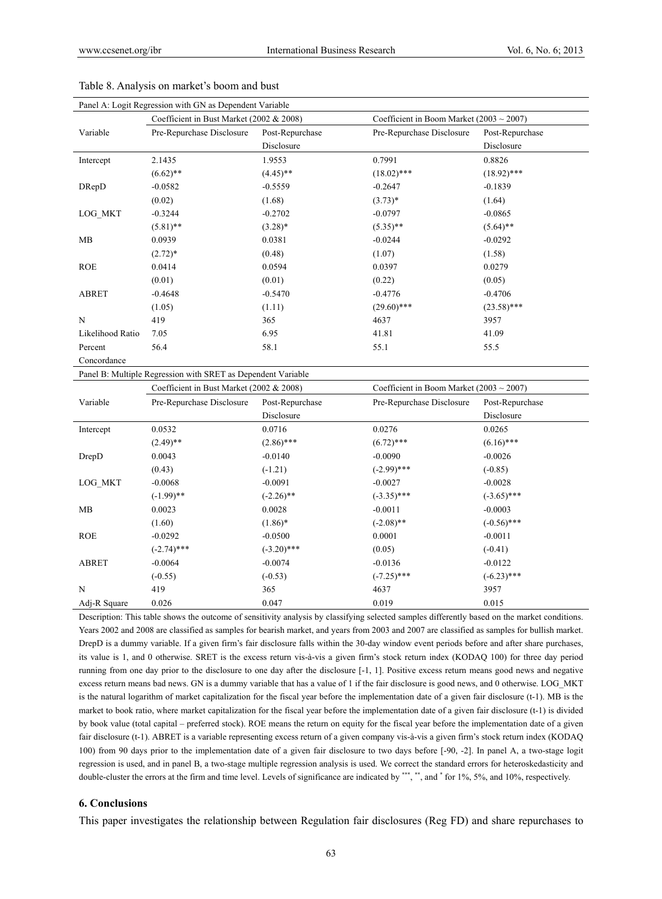| Panel A: Logit Regression with GN as Dependent Variable |                                             |                 |                                               |                 |  |  |
|---------------------------------------------------------|---------------------------------------------|-----------------|-----------------------------------------------|-----------------|--|--|
|                                                         | Coefficient in Bust Market (2002 $& 2008$ ) |                 | Coefficient in Boom Market $(2003 \sim 2007)$ |                 |  |  |
| Variable                                                | Pre-Repurchase Disclosure                   | Post-Repurchase | Pre-Repurchase Disclosure                     | Post-Repurchase |  |  |
|                                                         |                                             | Disclosure      |                                               | Disclosure      |  |  |
| Intercept                                               | 2.1435                                      | 1.9553          | 0.7991                                        | 0.8826          |  |  |
|                                                         | $(6.62)$ **                                 | $(4.45)$ **     | $(18.02)$ ***                                 | $(18.92)$ ***   |  |  |
| DRepD                                                   | $-0.0582$                                   | $-0.5559$       | $-0.2647$                                     | $-0.1839$       |  |  |
|                                                         | (0.02)                                      | (1.68)          | $(3.73)*$                                     | (1.64)          |  |  |
| LOG MKT                                                 | $-0.3244$                                   | $-0.2702$       | $-0.0797$                                     | $-0.0865$       |  |  |
|                                                         | $(5.81)$ **                                 | $(3.28)*$       | $(5.35)$ **                                   | $(5.64)$ **     |  |  |
| MB                                                      | 0.0939                                      | 0.0381          | $-0.0244$                                     | $-0.0292$       |  |  |
|                                                         | $(2.72)^*$                                  | (0.48)          | (1.07)                                        | (1.58)          |  |  |
| <b>ROE</b>                                              | 0.0414                                      | 0.0594          | 0.0397                                        | 0.0279          |  |  |
|                                                         | (0.01)                                      | (0.01)          | (0.22)                                        | (0.05)          |  |  |
| <b>ABRET</b>                                            | $-0.4648$                                   | $-0.5470$       | $-0.4776$                                     | $-0.4706$       |  |  |
|                                                         | (1.05)                                      | (1.11)          | $(29.60)$ ***                                 | $(23.58)$ ***   |  |  |
| N                                                       | 419                                         | 365             | 4637                                          | 3957            |  |  |
| Likelihood Ratio                                        | 7.05                                        | 6.95            | 41.81                                         | 41.09           |  |  |
| Percent                                                 | 56.4                                        | 58.1            | 55.1                                          | 55.5            |  |  |
| Concordance                                             |                                             |                 |                                               |                 |  |  |

## Table 8. Analysis on market's boom and bust

Panel B: Multiple Regression with SRET as Dependent Variable

|              | Coefficient in Bust Market (2002 $& 2008$ ) |                 | Coefficient in Boom Market $(2003 \sim 2007)$ |                 |  |
|--------------|---------------------------------------------|-----------------|-----------------------------------------------|-----------------|--|
| Variable     | Pre-Repurchase Disclosure                   | Post-Repurchase | Pre-Repurchase Disclosure                     | Post-Repurchase |  |
|              |                                             | Disclosure      |                                               | Disclosure      |  |
| Intercept    | 0.0532                                      | 0.0716          | 0.0276                                        | 0.0265          |  |
|              | $(2.49)$ **                                 | $(2.86)$ ***    | $(6.72)$ ***                                  | $(6.16)$ ***    |  |
| DrepD        | 0.0043                                      | $-0.0140$       | $-0.0090$                                     | $-0.0026$       |  |
|              | (0.43)                                      | $(-1.21)$       | $(-2.99)$ ***                                 | $(-0.85)$       |  |
| LOG MKT      | $-0.0068$                                   | $-0.0091$       | $-0.0027$                                     | $-0.0028$       |  |
|              | $(-1.99)$ **                                | $(-2.26)$ **    | $(-3.35)$ ***                                 | $(-3.65)$ ***   |  |
| MB           | 0.0023                                      | 0.0028          | $-0.0011$                                     | $-0.0003$       |  |
|              | (1.60)                                      | $(1.86)^*$      | $(-2.08)$ **                                  | $(-0.56)$ ***   |  |
| <b>ROE</b>   | $-0.0292$                                   | $-0.0500$       | 0.0001                                        | $-0.0011$       |  |
|              | $(-2.74)$ ***                               | $(-3.20)$ ***   | (0.05)                                        | $(-0.41)$       |  |
| <b>ABRET</b> | $-0.0064$                                   | $-0.0074$       | $-0.0136$                                     | $-0.0122$       |  |
|              | $(-0.55)$                                   | $(-0.53)$       | $(-7.25)$ ***                                 | $(-6.23)$ ***   |  |
| N            | 419                                         | 365             | 4637                                          | 3957            |  |
| Adj-R Square | 0.026                                       | 0.047           | 0.019                                         | 0.015           |  |

Description: This table shows the outcome of sensitivity analysis by classifying selected samples differently based on the market conditions. Years 2002 and 2008 are classified as samples for bearish market, and years from 2003 and 2007 are classified as samples for bullish market. DrepD is a dummy variable. If a given firm's fair disclosure falls within the 30-day window event periods before and after share purchases, its value is 1, and 0 otherwise. SRET is the excess return vis-à-vis a given firm's stock return index (KODAQ 100) for three day period running from one day prior to the disclosure to one day after the disclosure [-1, 1]. Positive excess return means good news and negative excess return means bad news. GN is a dummy variable that has a value of 1 if the fair disclosure is good news, and 0 otherwise. LOG\_MKT is the natural logarithm of market capitalization for the fiscal year before the implementation date of a given fair disclosure (t-1). MB is the market to book ratio, where market capitalization for the fiscal year before the implementation date of a given fair disclosure (t-1) is divided by book value (total capital – preferred stock). ROE means the return on equity for the fiscal year before the implementation date of a given fair disclosure (t-1). ABRET is a variable representing excess return of a given company vis-à-vis a given firm's stock return index (KODAQ 100) from 90 days prior to the implementation date of a given fair disclosure to two days before [-90, -2]. In panel A, a two-stage logit regression is used, and in panel B, a two-stage multiple regression analysis is used. We correct the standard errors for heteroskedasticity and double-cluster the errors at the firm and time level. Levels of significance are indicated by \*\*\*, \*\*, and \* for 1%, 5%, and 10%, respectively.

## **6. Conclusions**

This paper investigates the relationship between Regulation fair disclosures (Reg FD) and share repurchases to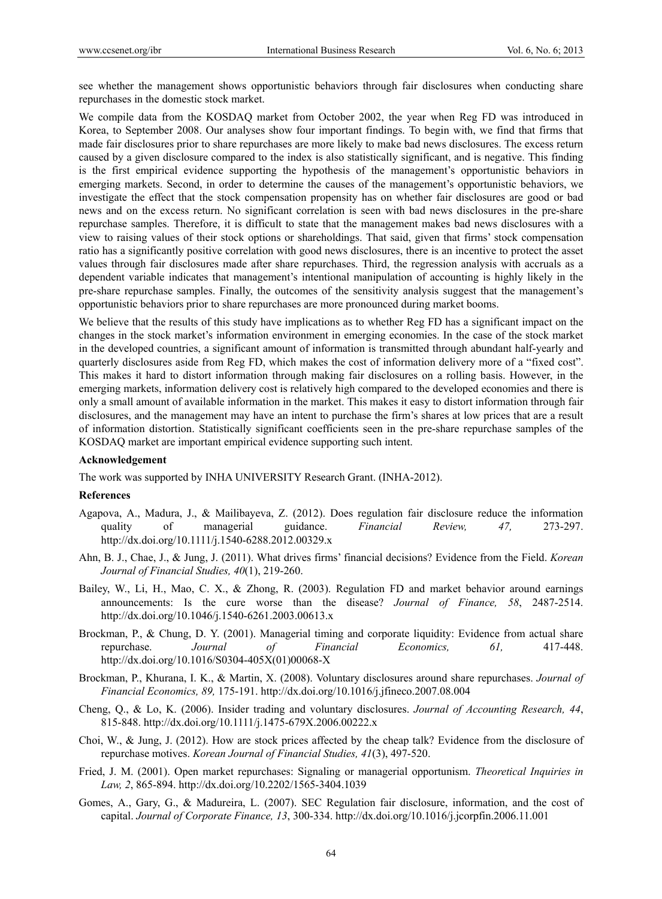see whether the management shows opportunistic behaviors through fair disclosures when conducting share repurchases in the domestic stock market.

We compile data from the KOSDAQ market from October 2002, the year when Reg FD was introduced in Korea, to September 2008. Our analyses show four important findings. To begin with, we find that firms that made fair disclosures prior to share repurchases are more likely to make bad news disclosures. The excess return caused by a given disclosure compared to the index is also statistically significant, and is negative. This finding is the first empirical evidence supporting the hypothesis of the management's opportunistic behaviors in emerging markets. Second, in order to determine the causes of the management's opportunistic behaviors, we investigate the effect that the stock compensation propensity has on whether fair disclosures are good or bad news and on the excess return. No significant correlation is seen with bad news disclosures in the pre-share repurchase samples. Therefore, it is difficult to state that the management makes bad news disclosures with a view to raising values of their stock options or shareholdings. That said, given that firms' stock compensation ratio has a significantly positive correlation with good news disclosures, there is an incentive to protect the asset values through fair disclosures made after share repurchases. Third, the regression analysis with accruals as a dependent variable indicates that management's intentional manipulation of accounting is highly likely in the pre-share repurchase samples. Finally, the outcomes of the sensitivity analysis suggest that the management's opportunistic behaviors prior to share repurchases are more pronounced during market booms.

We believe that the results of this study have implications as to whether Reg FD has a significant impact on the changes in the stock market's information environment in emerging economies. In the case of the stock market in the developed countries, a significant amount of information is transmitted through abundant half-yearly and quarterly disclosures aside from Reg FD, which makes the cost of information delivery more of a "fixed cost". This makes it hard to distort information through making fair disclosures on a rolling basis. However, in the emerging markets, information delivery cost is relatively high compared to the developed economies and there is only a small amount of available information in the market. This makes it easy to distort information through fair disclosures, and the management may have an intent to purchase the firm's shares at low prices that are a result of information distortion. Statistically significant coefficients seen in the pre-share repurchase samples of the KOSDAQ market are important empirical evidence supporting such intent.

#### **Acknowledgement**

The work was supported by INHA UNIVERSITY Research Grant. (INHA-2012).

#### **References**

- Agapova, A., Madura, J., & Mailibayeva, Z. (2012). Does regulation fair disclosure reduce the information quality of managerial guidance. *Financial Review, 47,* 273-297. http://dx.doi.org/10.1111/j.1540-6288.2012.00329.x
- Ahn, B. J., Chae, J., & Jung, J. (2011). What drives firms' financial decisions? Evidence from the Field. *Korean Journal of Financial Studies, 40*(1), 219-260.
- Bailey, W., Li, H., Mao, C. X., & Zhong, R. (2003). Regulation FD and market behavior around earnings announcements: Is the cure worse than the disease? *Journal of Finance, 58*, 2487-2514. http://dx.doi.org/10.1046/j.1540-6261.2003.00613.x
- Brockman, P., & Chung, D. Y. (2001). Managerial timing and corporate liquidity: Evidence from actual share repurchase. *Journal of Financial Economics, 61,* 417-448. http://dx.doi.org/10.1016/S0304-405X(01)00068-X
- Brockman, P., Khurana, I. K., & Martin, X. (2008). Voluntary disclosures around share repurchases. *Journal of Financial Economics, 89,* 175-191. http://dx.doi.org/10.1016/j.jfineco.2007.08.004
- Cheng, Q., & Lo, K. (2006). Insider trading and voluntary disclosures. *Journal of Accounting Research, 44*, 815-848. http://dx.doi.org/10.1111/j.1475-679X.2006.00222.x
- Choi, W., & Jung, J. (2012). How are stock prices affected by the cheap talk? Evidence from the disclosure of repurchase motives. *Korean Journal of Financial Studies, 41*(3), 497-520.
- Fried, J. M. (2001). Open market repurchases: Signaling or managerial opportunism. *Theoretical Inquiries in Law, 2*, 865-894. http://dx.doi.org/10.2202/1565-3404.1039
- Gomes, A., Gary, G., & Madureira, L. (2007). SEC Regulation fair disclosure, information, and the cost of capital. *Journal of Corporate Finance, 13*, 300-334. http://dx.doi.org/10.1016/j.jcorpfin.2006.11.001